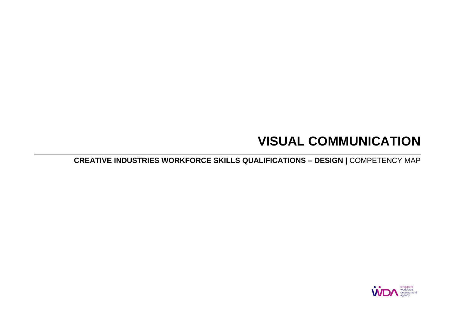# **VISUAL COMMUNICATION**

**CREATIVE INDUSTRIES WORKFORCE SKILLS QUALIFICATIONS – DESIGN |** COMPETENCY MAP

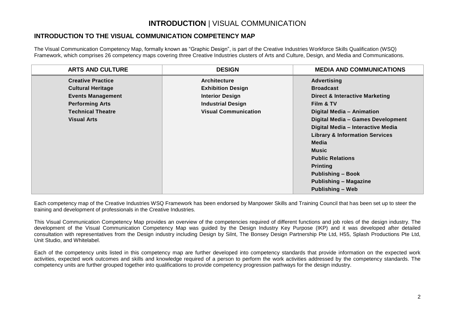## **INTRODUCTION** | VISUAL COMMUNICATION

#### **INTRODUCTION TO THE VISUAL COMMUNICATION COMPETENCY MAP**

The Visual Communication Competency Map, formally known as "Graphic Design", is part of the Creative Industries Workforce Skills Qualification (WSQ) Framework, which comprises 26 competency maps covering three Creative Industries clusters of Arts and Culture, Design, and Media and Communications.

| <b>ARTS AND CULTURE</b>  | <b>DESIGN</b>               | <b>MEDIA AND COMMUNICATIONS</b>           |
|--------------------------|-----------------------------|-------------------------------------------|
| <b>Creative Practice</b> | <b>Architecture</b>         | <b>Advertising</b>                        |
| <b>Cultural Heritage</b> | <b>Exhibition Design</b>    | <b>Broadcast</b>                          |
| <b>Events Management</b> | <b>Interior Design</b>      | <b>Direct &amp; Interactive Marketing</b> |
| <b>Performing Arts</b>   | <b>Industrial Design</b>    | Film & TV                                 |
| <b>Technical Theatre</b> | <b>Visual Communication</b> | Digital Media - Animation                 |
| <b>Visual Arts</b>       |                             | Digital Media - Games Development         |
|                          |                             | Digital Media - Interactive Media         |
|                          |                             | <b>Library &amp; Information Services</b> |
|                          |                             | <b>Media</b>                              |
|                          |                             | <b>Music</b>                              |
|                          |                             | <b>Public Relations</b>                   |
|                          |                             | <b>Printing</b>                           |
|                          |                             | <b>Publishing - Book</b>                  |
|                          |                             | <b>Publishing - Magazine</b>              |
|                          |                             | <b>Publishing - Web</b>                   |

Each competency map of the Creative Industries WSQ Framework has been endorsed by Manpower Skills and Training Council that has been set up to steer the training and development of professionals in the Creative Industries.

This Visual Communication Competency Map provides an overview of the competencies required of different functions and job roles of the design industry. The development of the Visual Communication Competency Map was guided by the Design Industry Key Purpose (IKP) and it was developed after detailed consultation with representatives from the Design industry including Design by Silnt, The Bonsey Design Partnership Pte Ltd, H55, Splash Productions Pte Ltd, Unit Studio, and Whitelabel.

Each of the competency units listed in this competency map are further developed into competency standards that provide information on the expected work activities, expected work outcomes and skills and knowledge required of a person to perform the work activities addressed by the competency standards. The competency units are further grouped together into qualifications to provide competency progression pathways for the design industry.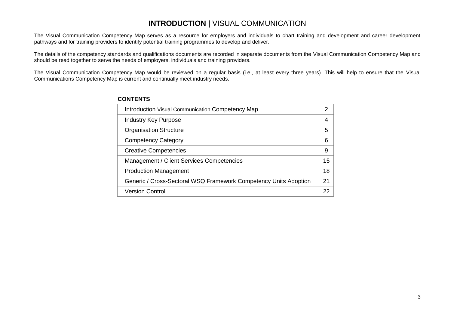## **INTRODUCTION |** VISUAL COMMUNICATION

The Visual Communication Competency Map serves as a resource for employers and individuals to chart training and development and career development pathways and for training providers to identify potential training programmes to develop and deliver.

The details of the competency standards and qualifications documents are recorded in separate documents from the Visual Communication Competency Map and should be read together to serve the needs of employers, individuals and training providers.

The Visual Communication Competency Map would be reviewed on a regular basis (i.e., at least every three years). This will help to ensure that the Visual Communications Competency Map is current and continually meet industry needs.

| <b>Introduction Visual Communication Competency Map</b>          | 2  |
|------------------------------------------------------------------|----|
| <b>Industry Key Purpose</b>                                      | 4  |
| <b>Organisation Structure</b>                                    | 5  |
| <b>Competency Category</b>                                       | 6  |
| <b>Creative Competencies</b>                                     | 9  |
| Management / Client Services Competencies                        | 15 |
| <b>Production Management</b>                                     | 18 |
| Generic / Cross-Sectoral WSQ Framework Competency Units Adoption | 21 |
| <b>Version Control</b>                                           | 22 |

#### **CONTENTS**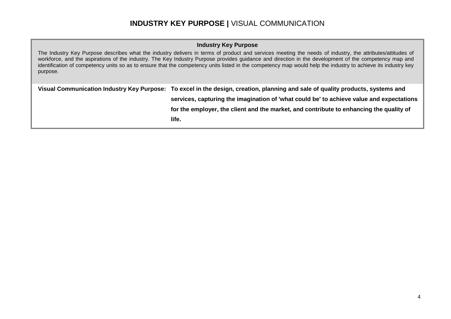#### **INDUSTRY KEY PURPOSE |** VISUAL COMMUNICATION

#### **Industry Key Purpose**

The Industry Key Purpose describes what the industry delivers in terms of product and services meeting the needs of industry, the attributes/attitudes of workforce, and the aspirations of the industry. The Key Industry Purpose provides guidance and direction in the development of the competency map and identification of competency units so as to ensure that the competency units listed in the competency map would help the industry to achieve its industry key purpose.

**Visual Communication Industry Key Purpose: To excel in the design, creation, planning and sale of quality products, systems and services, capturing the imagination of 'what could be' to achieve value and expectations for the employer, the client and the market, and contribute to enhancing the quality of life.**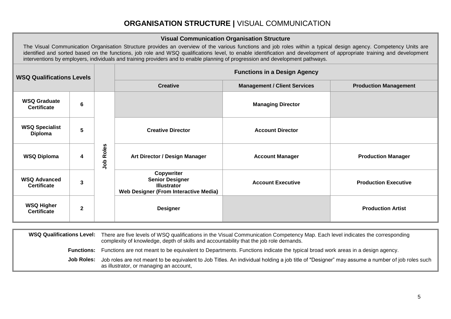# **ORGANISATION STRUCTURE |** VISUAL COMMUNICATION

|                                           |             |              |                                                                                                                                                                                                                                                                                                                                                                                                                                                                             | <b>Visual Communication Organisation Structure</b> |                              |  |
|-------------------------------------------|-------------|--------------|-----------------------------------------------------------------------------------------------------------------------------------------------------------------------------------------------------------------------------------------------------------------------------------------------------------------------------------------------------------------------------------------------------------------------------------------------------------------------------|----------------------------------------------------|------------------------------|--|
|                                           |             |              | The Visual Communication Organisation Structure provides an overview of the various functions and job roles within a typical design agency. Competency Units are<br>identified and sorted based on the functions, job role and WSQ qualifications level, to enable identification and development of appropriate training and development<br>interventions by employers, individuals and training providers and to enable planning of progression and development pathways. |                                                    |                              |  |
| <b>WSQ Qualifications Levels</b>          |             |              | <b>Functions in a Design Agency</b>                                                                                                                                                                                                                                                                                                                                                                                                                                         |                                                    |                              |  |
|                                           |             |              | <b>Creative</b>                                                                                                                                                                                                                                                                                                                                                                                                                                                             | <b>Management / Client Services</b>                | <b>Production Management</b> |  |
| <b>WSQ Graduate</b><br><b>Certificate</b> | 6           |              |                                                                                                                                                                                                                                                                                                                                                                                                                                                                             | <b>Managing Director</b>                           |                              |  |
| <b>WSQ Specialist</b><br>Diploma          | 5           |              | <b>Creative Director</b>                                                                                                                                                                                                                                                                                                                                                                                                                                                    | <b>Account Director</b>                            |                              |  |
| <b>WSQ Diploma</b>                        | 4           | Roles<br>doL | Art Director / Design Manager                                                                                                                                                                                                                                                                                                                                                                                                                                               | <b>Account Manager</b>                             | <b>Production Manager</b>    |  |
| <b>WSQ Advanced</b><br><b>Certificate</b> | 3           |              | Copywriter<br><b>Senior Designer</b><br><b>Illustrator</b><br><b>Web Designer (From Interactive Media)</b>                                                                                                                                                                                                                                                                                                                                                                  | <b>Account Executive</b>                           | <b>Production Executive</b>  |  |
| <b>WSQ Higher</b><br><b>Certificate</b>   | $\mathbf 2$ |              | <b>Designer</b>                                                                                                                                                                                                                                                                                                                                                                                                                                                             |                                                    | <b>Production Artist</b>     |  |

| <b>WSQ Qualifications Level:</b> | There are five levels of WSQ qualifications in the Visual Communication Competency Map. Each level indicates the corresponding<br>complexity of knowledge, depth of skills and accountability that the job role demands. |
|----------------------------------|--------------------------------------------------------------------------------------------------------------------------------------------------------------------------------------------------------------------------|
| <b>Functions:</b>                | Functions are not meant to be equivalent to Departments. Functions indicate the typical broad work areas in a design agency.                                                                                             |
| Job Roles:                       | Job roles are not meant to be equivalent to Job Titles. An individual holding a job title of "Designer" may assume a number of job roles such<br>as illustrator, or managing an account,                                 |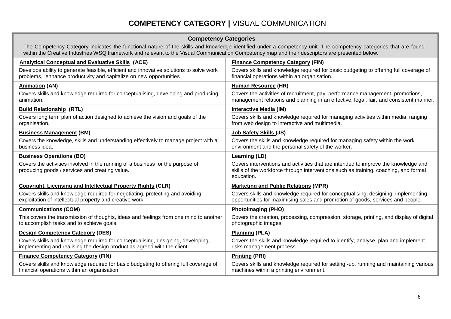# **COMPETENCY CATEGORY |** VISUAL COMMUNICATION

#### **Competency Categories**

The Competency Category indicates the functional nature of the skills and knowledge identified under a competency unit. The competency categories that are found within the Creative Industries WSQ framework and relevant to the Visual Communication Competency map and their descriptors are presented below.

| <b>Analytical Conceptual and Evaluative Skills (ACE)</b>                                                                                                      | <b>Finance Competency Category (FIN)</b>                                                                                                                                                 |
|---------------------------------------------------------------------------------------------------------------------------------------------------------------|------------------------------------------------------------------------------------------------------------------------------------------------------------------------------------------|
| Develops ability to generate feasible, efficient and innovative solutions to solve work<br>problems, enhance productivity and capitalize on new opportunities | Covers skills and knowledge required for basic budgeting to offering full coverage of<br>financial operations within an organisation.                                                    |
| <b>Animation (AN)</b>                                                                                                                                         | Human Resource (HR)                                                                                                                                                                      |
| Covers skills and knowledge required for conceptualising, developing and producing<br>animation.                                                              | Covers the activities of recruitment, pay, performance management, promotions,<br>management relations and planning in an effective, legal, fair, and consistent manner.                 |
| <b>Build Relationship (RTL)</b>                                                                                                                               | <b>Interactive Media (IM)</b>                                                                                                                                                            |
| Covers long term plan of action designed to achieve the vision and goals of the<br>organisation.                                                              | Covers skills and knowledge required for managing activities within media, ranging<br>from web design to interactive and multimedia.                                                     |
| <b>Business Management (BM)</b>                                                                                                                               | Job Safety Skills (JS)                                                                                                                                                                   |
| Covers the knowledge, skills and understanding effectively to manage project with a<br>business idea.                                                         | Covers the skills and knowledge required for managing safety within the work<br>environment and the personal safety of the worker.                                                       |
| <b>Business Operations (BO)</b>                                                                                                                               | <b>Learning (LD)</b>                                                                                                                                                                     |
| Covers the activities involved in the running of a business for the purpose of<br>producing goods / services and creating value.                              | Covers interventions and activities that are intended to improve the knowledge and<br>skills of the workforce through interventions such as training, coaching, and formal<br>education. |
| <b>Copyright, Licensing and Intellectual Property Rights (CLR)</b>                                                                                            | <b>Marketing and Public Relations (MPR)</b>                                                                                                                                              |
| Covers skills and knowledge required for negotiating, protecting and avoiding<br>exploitation of intellectual property and creative work.                     | Covers skills and knowledge required for conceptualising, designing, implementing<br>opportunities for maximising sales and promotion of goods, services and people.                     |
| <b>Communications (COM)</b>                                                                                                                                   | <b>Photoimaging (PHO)</b>                                                                                                                                                                |
| This covers the transmission of thoughts, ideas and feelings from one mind to another<br>to accomplish tasks and to achieve goals.                            | Covers the creation, processing, compression, storage, printing, and display of digital<br>photographic images.                                                                          |
| <b>Design Competency Category (DES)</b>                                                                                                                       | <b>Planning (PLA)</b>                                                                                                                                                                    |
| Covers skills and knowledge required for conceptualising, designing, developing,<br>implementing and realising the design product as agreed with the client.  | Covers the skills and knowledge required to identify, analyse, plan and implement<br>risks management process.                                                                           |
| <b>Finance Competency Category (FIN)</b>                                                                                                                      | <b>Printing (PRI)</b>                                                                                                                                                                    |
| Covers skills and knowledge required for basic budgeting to offering full coverage of<br>financial operations within an organisation.                         | Covers skills and knowledge required for setting -up, running and maintaining various<br>machines within a printing environment.                                                         |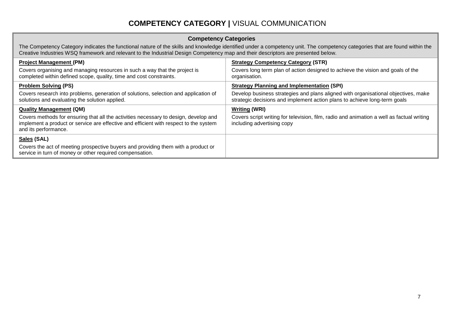# **COMPETENCY CATEGORY |** VISUAL COMMUNICATION

#### **Competency Categories**

The Competency Category indicates the functional nature of the skills and knowledge identified under a competency unit. The competency categories that are found within the Creative Industries WSQ framework and relevant to the Industrial Design Competency map and their descriptors are presented below.

| <b>Project Management (PM)</b>                                                                                                                                                                                                          | <b>Strategy Competency Category (STR)</b>                                                                                                       |
|-----------------------------------------------------------------------------------------------------------------------------------------------------------------------------------------------------------------------------------------|-------------------------------------------------------------------------------------------------------------------------------------------------|
| Covers organising and managing resources in such a way that the project is                                                                                                                                                              | Covers long term plan of action designed to achieve the vision and goals of the                                                                 |
| completed within defined scope, quality, time and cost constraints.                                                                                                                                                                     | organisation.                                                                                                                                   |
| <b>Problem Solving (PS)</b>                                                                                                                                                                                                             | <b>Strategy Planning and Implementation (SPI)</b>                                                                                               |
| Covers research into problems, generation of solutions, selection and application of                                                                                                                                                    | Develop business strategies and plans aligned with organisational objectives, make                                                              |
| solutions and evaluating the solution applied.                                                                                                                                                                                          | strategic decisions and implement action plans to achieve long-term goals                                                                       |
| <b>Quality Management (QM)</b><br>Covers methods for ensuring that all the activities necessary to design, develop and<br>implement a product or service are effective and efficient with respect to the system<br>and its performance. | <b>Writing (WRI)</b><br>Covers script writing for television, film, radio and animation a well as factual writing<br>including advertising copy |
| Sales (SAL)<br>Covers the act of meeting prospective buyers and providing them with a product or<br>service in turn of money or other required compensation.                                                                            |                                                                                                                                                 |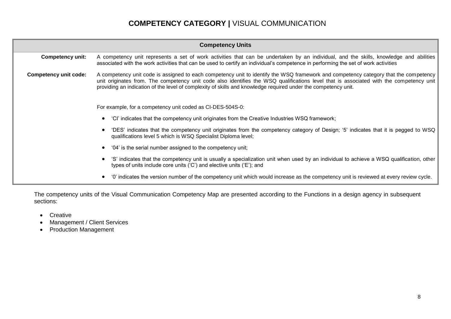# **COMPETENCY CATEGORY |** VISUAL COMMUNICATION

| <b>Competency Units</b>                                                                                                                                                                                           |                                                                                                                                                                                                                                                                                                                                                                                                   |  |  |  |  |
|-------------------------------------------------------------------------------------------------------------------------------------------------------------------------------------------------------------------|---------------------------------------------------------------------------------------------------------------------------------------------------------------------------------------------------------------------------------------------------------------------------------------------------------------------------------------------------------------------------------------------------|--|--|--|--|
| Competency unit:                                                                                                                                                                                                  | A competency unit represents a set of work activities that can be undertaken by an individual, and the skills, knowledge and abilities<br>associated with the work activities that can be used to certify an individual's competence in performing the set of work activities                                                                                                                     |  |  |  |  |
| <b>Competency unit code:</b>                                                                                                                                                                                      | A competency unit code is assigned to each competency unit to identify the WSQ framework and competency category that the competency<br>unit originates from. The competency unit code also identifies the WSQ qualifications level that is associated with the competency unit<br>providing an indication of the level of complexity of skills and knowledge required under the competency unit. |  |  |  |  |
|                                                                                                                                                                                                                   | For example, for a competency unit coded as CI-DES-504S-0:                                                                                                                                                                                                                                                                                                                                        |  |  |  |  |
|                                                                                                                                                                                                                   | 'CI' indicates that the competency unit originates from the Creative Industries WSQ framework;                                                                                                                                                                                                                                                                                                    |  |  |  |  |
| 'DES' indicates that the competency unit originates from the competency category of Design; '5' indicates that it is pegged to WSQ<br>qualifications level 5 which is WSQ Specialist Diploma level;               |                                                                                                                                                                                                                                                                                                                                                                                                   |  |  |  |  |
|                                                                                                                                                                                                                   | '04' is the serial number assigned to the competency unit;                                                                                                                                                                                                                                                                                                                                        |  |  |  |  |
| 'S' indicates that the competency unit is usually a specialization unit when used by an individual to achieve a WSQ qualification, other<br>types of units include core units ('C') and elective units ('E'); and |                                                                                                                                                                                                                                                                                                                                                                                                   |  |  |  |  |
|                                                                                                                                                                                                                   | '0' indicates the version number of the competency unit which would increase as the competency unit is reviewed at every review cycle.                                                                                                                                                                                                                                                            |  |  |  |  |

The competency units of the Visual Communication Competency Map are presented according to the Functions in a design agency in subsequent sections:

- Creative
- Management / Client Services
- Production Management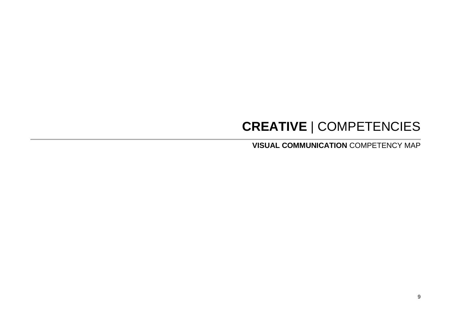# **CREATIVE** | COMPETENCIES

**VISUAL COMMUNICATION** COMPETENCY MAP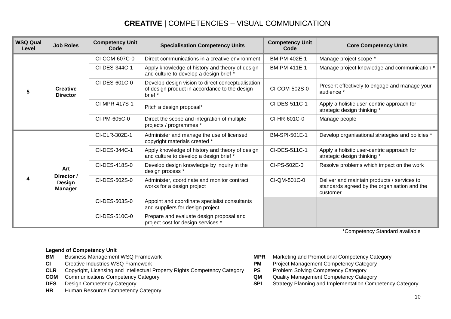| <b>WSQ Qual</b><br>Level | <b>Job Roles</b>                              | <b>Competency Unit</b><br>Code | <b>Specialisation Competency Units</b>                                                                        | <b>Competency Unit</b><br>Code | <b>Core Competency Units</b>                                                                            |
|--------------------------|-----------------------------------------------|--------------------------------|---------------------------------------------------------------------------------------------------------------|--------------------------------|---------------------------------------------------------------------------------------------------------|
|                          |                                               | CI-COM-607C-0                  | Direct communications in a creative environment                                                               | BM-PM-402E-1                   | Manage project scope *                                                                                  |
| 5                        | <b>Creative</b><br><b>Director</b>            | CI-DES-344C-1                  | Apply knowledge of history and theory of design<br>and culture to develop a design brief *                    | BM-PM-411E-1                   | Manage project knowledge and communication *                                                            |
|                          |                                               | CI-DES-601C-0                  | Develop design vision to direct conceptualisation<br>of design product in accordance to the design<br>brief * | CI-COM-502S-0                  | Present effectively to engage and manage your<br>audience *                                             |
|                          |                                               | CI-MPR-417S-1                  | Pitch a design proposal*                                                                                      | CI-DES-511C-1                  | Apply a holistic user-centric approach for<br>strategic design thinking *                               |
|                          |                                               | CI-PM-605C-0                   | Direct the scope and integration of multiple<br>projects / programmes *                                       | CI-HR-601C-0                   | Manage people                                                                                           |
|                          | Art<br>Director /<br>Design<br><b>Manager</b> | CI-CLR-302E-1                  | Administer and manage the use of licensed<br>copyright materials created *                                    | <b>BM-SPI-501E-1</b>           | Develop organisational strategies and policies *                                                        |
|                          |                                               | CI-DES-344C-1                  | Apply knowledge of history and theory of design<br>and culture to develop a design brief *                    | CI-DES-511C-1                  | Apply a holistic user-centric approach for<br>strategic design thinking *                               |
|                          |                                               | CI-DES-418S-0                  | Develop design knowledge by inquiry in the<br>design process *                                                | CI-PS-502E-0                   | Resolve problems which impact on the work                                                               |
| 4                        |                                               | CI-DES-502S-0                  | Administer, coordinate and monitor contract<br>works for a design project                                     | CI-QM-501C-0                   | Deliver and maintain products / services to<br>standards agreed by the organisation and the<br>customer |
|                          |                                               | CI-DES-503S-0                  | Appoint and coordinate specialist consultants<br>and suppliers for design project                             |                                |                                                                                                         |
|                          |                                               | CI-DES-510C-0                  | Prepare and evaluate design proposal and<br>project cost for design services *                                |                                |                                                                                                         |

\*Competency Standard available

- **Legend of Competency Unit<br>BM** Business Management WSQ Framework
- 
- **CLR** Copyright, Licensing and Intellectual Property Rights Competency Category **PS** Problem Solving Competency Category<br> **COM** Communications Competency Category<br> **COM** Cuality Management Competency Category
- **COM** Communications Competency Category **COM** Communications Competency Category **COM** COMPUSE COMPUSE COMPUSE COMPUSE COMPUSE COMPUSE COMPUSE COMPUSE COMPUSE COMPUS COMPUSE COMPUSE COMPUS COMPUS COMPUS COMPUS COMPUS COMP
- 
- **HR** Human Resource Competency Category
- **BM** Business Management WSQ Framework **MPR** Marketing and Promotional Competency Category
- **CI** Creative Industries WSQ Framework **PM** Project Management Competency Category
	-
	-
- **DES** Design Competency Category **SPI** Strategy Planning and Implementation Competency Category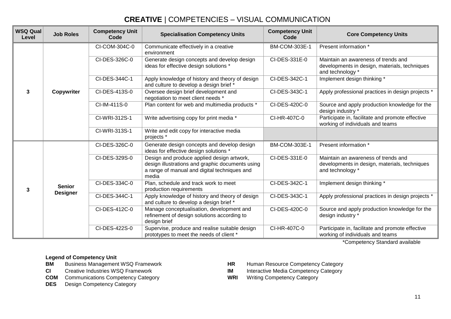| <b>WSQ Qual</b><br>Level | <b>Job Roles</b> | <b>Competency Unit</b><br>Code | <b>Specialisation Competency Units</b>                                                                                                                  | <b>Competency Unit</b><br>Code | <b>Core Competency Units</b>                                                                             |
|--------------------------|------------------|--------------------------------|---------------------------------------------------------------------------------------------------------------------------------------------------------|--------------------------------|----------------------------------------------------------------------------------------------------------|
|                          |                  | CI-COM-304C-0                  | Communicate effectively in a creative<br>environment                                                                                                    | BM-COM-303E-1                  | Present information *                                                                                    |
|                          |                  | CI-DES-326C-0                  | Generate design concepts and develop design<br>ideas for effective design solutions *                                                                   | CI-DES-331E-0                  | Maintain an awareness of trends and<br>developments in design, materials, techniques<br>and technology * |
|                          |                  | CI-DES-344C-1                  | Apply knowledge of history and theory of design<br>and culture to develop a design brief *                                                              | CI-DES-342C-1                  | Implement design thinking *                                                                              |
| 3                        | Copywriter       | CI-DES-413S-0                  | Oversee design brief development and<br>negotiation to meet client needs *                                                                              | CI-DES-343C-1                  | Apply professional practices in design projects *                                                        |
|                          |                  | CI-IM-411S-0                   | Plan content for web and multimedia products *                                                                                                          | CI-DES-420C-0                  | Source and apply production knowledge for the<br>design industry *                                       |
|                          |                  | CI-WRI-312S-1                  | Write advertising copy for print media *                                                                                                                | CI-HR-407C-0                   | Participate in, facilitate and promote effective<br>working of individuals and teams                     |
|                          |                  | CI-WRI-313S-1                  | Write and edit copy for interactive media<br>projects *                                                                                                 |                                |                                                                                                          |
|                          | <b>Senior</b>    | CI-DES-326C-0                  | Generate design concepts and develop design<br>ideas for effective design solutions *                                                                   | BM-COM-303E-1                  | Present information *                                                                                    |
|                          |                  | CI-DES-329S-0                  | Design and produce applied design artwork,<br>design illustrations and graphic documents using<br>a range of manual and digital techniques and<br>media | CI-DES-331E-0                  | Maintain an awareness of trends and<br>developments in design, materials, techniques<br>and technology * |
| 3                        |                  | CI-DES-334C-0                  | Plan, schedule and track work to meet<br>production requirements                                                                                        | CI-DES-342C-1                  | Implement design thinking *                                                                              |
|                          | <b>Designer</b>  | CI-DES-344C-1                  | Apply knowledge of history and theory of design<br>and culture to develop a design brief *                                                              | CI-DES-343C-1                  | Apply professional practices in design projects *                                                        |
|                          |                  | CI-DES-412C-0                  | Manage conceptualisation, development and<br>refinement of design solutions according to<br>design brief                                                | CI-DES-420C-0                  | Source and apply production knowledge for the<br>design industry *                                       |
|                          |                  | CI-DES-422S-0                  | Supervise, produce and realise suitable design<br>prototypes to meet the needs of client *                                                              | CI-HR-407C-0                   | Participate in, facilitate and promote effective<br>working of individuals and teams                     |

\*Competency Standard available

- 
- 
- **COM** Communications Competency Category **WRI** Writing Competency Category
- **DES** Design Competency Category
- **BM** Business Management WSQ Framework **HR** Human Resource Competency Category<br>**CI** Creative Industries WSQ Framework **HR** Interactive Media Competency Category
	- **Interactive Media Competency Category**
	-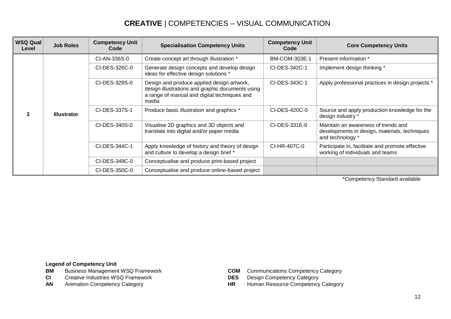| <b>WSQ Qual</b><br>Level | <b>Job Roles</b>   | <b>Competency Unit</b><br>Code | <b>Specialisation Competency Units</b>                                                                                                                  | <b>Competency Unit</b><br>Code | <b>Core Competency Units</b>                                                                             |
|--------------------------|--------------------|--------------------------------|---------------------------------------------------------------------------------------------------------------------------------------------------------|--------------------------------|----------------------------------------------------------------------------------------------------------|
|                          |                    | CI-AN-336S-0                   | Create concept art through illustration *                                                                                                               | <b>BM-COM-303E-1</b>           | Present information *                                                                                    |
| 3                        |                    | CI-DES-326C-0                  | Generate design concepts and develop design<br>ideas for effective design solutions *                                                                   | CI-DES-342C-1                  | Implement design thinking *                                                                              |
|                          |                    | CI-DES-329S-0                  | Design and produce applied design artwork,<br>design illustrations and graphic documents using<br>a range of manual and digital techniques and<br>media | CI-DES-343C-1                  | Apply professional practices in design projects *                                                        |
|                          | <b>Illustrator</b> | CI-DES-337S-1                  | Produce basic illustration and graphics *                                                                                                               | CI-DES-420C-0                  | Source and apply production knowledge for the<br>design industry *                                       |
|                          |                    | CI-DES-340S-0                  | Visualise 2D graphics and 3D objects and<br>translate into digital and/or paper media                                                                   | CI-DES-331E-0                  | Maintain an awareness of trends and<br>developments in design, materials, techniques<br>and technology * |
|                          |                    | CI-DES-344C-1                  | Apply knowledge of history and theory of design<br>and culture to develop a design brief *                                                              | CI-HR-407C-0                   | Participate in, facilitate and promote effective<br>working of individuals and teams                     |
|                          |                    | CI-DES-349C-0                  | Conceptualise and produce print-based project                                                                                                           |                                |                                                                                                          |
|                          |                    | CI-DES-350C-0                  | Conceptualise and produce online-based project                                                                                                          |                                |                                                                                                          |

\*Competency Standard available

- **Legend of Competency Unit<br>BM** Business Management WSQ Framework
- **CI** Creative Industries WSQ Framework **DES** Design Competency Category
- 
- **COM** Communications Competency Category
- 
- AN Animation Competency Category **HR** Human Resource Competency Category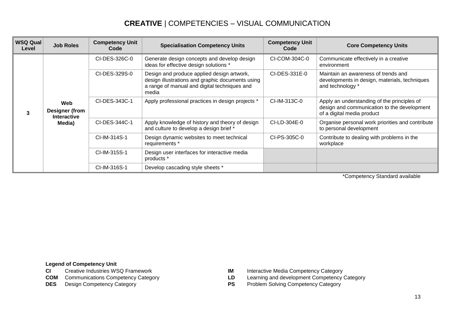| <b>WSQ Qual</b><br>Level | <b>Job Roles</b>                                      | <b>Competency Unit</b><br>Code | <b>Specialisation Competency Units</b>                                                                                                                  | <b>Competency Unit</b><br>Code | <b>Core Competency Units</b>                                                                                             |
|--------------------------|-------------------------------------------------------|--------------------------------|---------------------------------------------------------------------------------------------------------------------------------------------------------|--------------------------------|--------------------------------------------------------------------------------------------------------------------------|
|                          | Web<br>Designer (from<br><b>Interactive</b><br>Media) | CI-DES-326C-0                  | Generate design concepts and develop design<br>ideas for effective design solutions *                                                                   | CI-COM-304C-0                  | Communicate effectively in a creative<br>environment                                                                     |
|                          |                                                       | CI-DES-329S-0                  | Design and produce applied design artwork,<br>design illustrations and graphic documents using<br>a range of manual and digital techniques and<br>media | CI-DES-331E-0                  | Maintain an awareness of trends and<br>developments in design, materials, techniques<br>and technology *                 |
|                          |                                                       | CI-DES-343C-1                  | Apply professional practices in design projects *                                                                                                       | CI-IM-313C-0                   | Apply an understanding of the principles of<br>design and communication to the development<br>of a digital media product |
|                          |                                                       | CI-DES-344C-1                  | Apply knowledge of history and theory of design<br>and culture to develop a design brief *                                                              | CI-LD-304E-0                   | Organise personal work priorities and contribute<br>to personal development                                              |
|                          |                                                       | CI-IM-314S-1                   | Design dynamic websites to meet technical<br>requirements *                                                                                             | CI-PS-305C-0                   | Contribute to dealing with problems in the<br>workplace                                                                  |
|                          |                                                       | CI-IM-315S-1                   | Design user interfaces for interactive media<br>products *                                                                                              |                                |                                                                                                                          |
|                          |                                                       | CI-IM-316S-1                   | Develop cascading style sheets *                                                                                                                        |                                |                                                                                                                          |

\*Competency Standard available

- **Legend of Competency Unit<br>CI** Creative Industries WSQ Framework
- 
- 
- **IM** Interactive Media Competency Category
- **COM** Communications Competency Category **LD** Learning and development Competency Category
- **DES** Design Competency Category **PS** Problem Solving Competency Category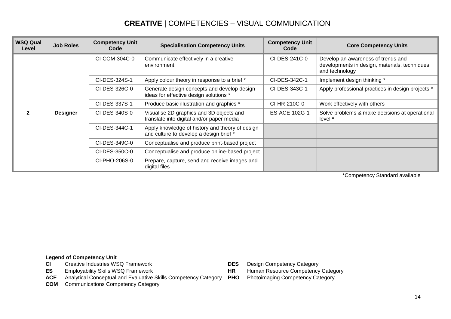| <b>WSQ Qual</b><br>Level | <b>Job Roles</b> | <b>Competency Unit</b><br>Code | <b>Specialisation Competency Units</b>                                                     | <b>Competency Unit</b><br>Code | <b>Core Competency Units</b>                                                                          |
|--------------------------|------------------|--------------------------------|--------------------------------------------------------------------------------------------|--------------------------------|-------------------------------------------------------------------------------------------------------|
|                          |                  | CI-COM-304C-0                  | Communicate effectively in a creative<br>environment                                       | CI-DES-241C-0                  | Develop an awareness of trends and<br>developments in design, materials, techniques<br>and technology |
|                          |                  | CI-DES-324S-1                  | Apply colour theory in response to a brief *                                               | CI-DES-342C-1                  | Implement design thinking *                                                                           |
|                          |                  | CI-DES-326C-0                  | Generate design concepts and develop design<br>ideas for effective design solutions *      | CI-DES-343C-1                  | Apply professional practices in design projects *                                                     |
|                          |                  | CI-DES-337S-1                  | Produce basic illustration and graphics *                                                  | CI-HR-210C-0                   | Work effectively with others                                                                          |
|                          | <b>Designer</b>  | CI-DES-340S-0                  | Visualise 2D graphics and 3D objects and<br>translate into digital and/or paper media      | ES-ACE-102G-1                  | Solve problems & make decisions at operational<br>level *                                             |
|                          |                  | CI-DES-344C-1                  | Apply knowledge of history and theory of design<br>and culture to develop a design brief * |                                |                                                                                                       |
|                          |                  | CI-DES-349C-0                  | Conceptualise and produce print-based project                                              |                                |                                                                                                       |
|                          |                  | CI-DES-350C-0                  | Conceptualise and produce online-based project                                             |                                |                                                                                                       |
|                          |                  | CI-PHO-206S-0                  | Prepare, capture, send and receive images and<br>digital files                             |                                |                                                                                                       |

\*Competency Standard available

# **Legend of Competency Unit<br>CI** Creative Industries WS

- **CI** Creative Industries WSQ Framework **DES** Design Competency Category<br> **DES** Employability Skills WSQ Framework **DES** HR Human Resource Competency
- 
- **ACE** Analytical Conceptual and Evaluative Skills Competency Category **PHO** Photoimaging Competency Category
- **COM** Communications Competency Category
- 
- **Example Transforman Resource Competency Category**
-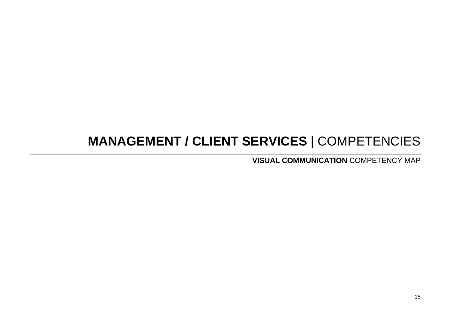# **MANAGEMENT / CLIENT SERVICES** | COMPETENCIES

**VISUAL COMMUNICATION** COMPETENCY MAP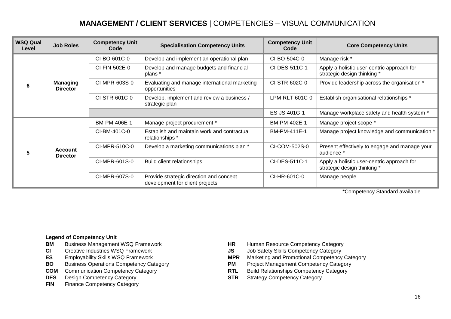## **MANAGEMENT / CLIENT SERVICES** | COMPETENCIES – VISUAL COMMUNICATION

| <b>WSQ Qual</b><br>Level | <b>Job Roles</b>                   | <b>Competency Unit</b><br>Code | <b>Specialisation Competency Units</b>                                     | <b>Competency Unit</b><br>Code | <b>Core Competency Units</b>                                              |
|--------------------------|------------------------------------|--------------------------------|----------------------------------------------------------------------------|--------------------------------|---------------------------------------------------------------------------|
| 6                        | <b>Managing</b><br><b>Director</b> | CI-BO-601C-0                   | Develop and implement an operational plan                                  | CI-BO-504C-0                   | Manage risk *                                                             |
|                          |                                    | CI-FIN-502E-0                  | Develop and manage budgets and financial<br>plans *                        | CI-DES-511C-1                  | Apply a holistic user-centric approach for<br>strategic design thinking * |
|                          |                                    | CI-MPR-603S-0                  | Evaluating and manage international marketing<br>opportunities             | CI-STR-602C-0                  | Provide leadership across the organisation *                              |
|                          |                                    | CI-STR-601C-0                  | Develop, implement and review a business /<br>strategic plan               | LPM-RLT-601C-0                 | Establish organisational relationships *                                  |
|                          |                                    |                                |                                                                            | ES-JS-401G-1                   | Manage workplace safety and health system *                               |
| 5                        | <b>Account</b><br><b>Director</b>  | BM-PM-406E-1                   | Manage project procurement *                                               | BM-PM-402E-1                   | Manage project scope *                                                    |
|                          |                                    | CI-BM-401C-0                   | Establish and maintain work and contractual<br>relationships *             | BM-PM-411E-1                   | Manage project knowledge and communication *                              |
|                          |                                    | CI-MPR-510C-0                  | Develop a marketing communications plan *                                  | CI-COM-502S-0                  | Present effectively to engage and manage your<br>audience *               |
|                          |                                    | CI-MPR-601S-0                  | Build client relationships                                                 | CI-DES-511C-1                  | Apply a holistic user-centric approach for<br>strategic design thinking * |
|                          |                                    | CI-MPR-607S-0                  | Provide strategic direction and concept<br>development for client projects | CI-HR-601C-0                   | Manage people                                                             |

\*Competency Standard available

- 
- 
- 
- **BO** Business Operations Competency Category **PM** Project Management Competency Category<br>**COM** Communication Competency Category **PM** RTL Build Relationships Competency Category
- **COM** Communication Competency Category **RTL**
- 
- **FIN** Finance Competency Category
- **BM** Business Management WSQ Framework **HR** Human Resource Competency Category<br> **CI** Creative Industries WSQ Framework **CI STAR** Job Safety Skills Competency Category
- **CI** Creative Industries WSQ Framework **JS** Job Safety Skills Competency Category
- **ES** Employability Skills WSQ Framework **MDR** Marketing and Promotional Competency Category<br> **BO** Business Operations Competency Category **M** Project Management Competency Category
	-
	-
- **DES** Design Competency Category **STR** Strategy Competency Category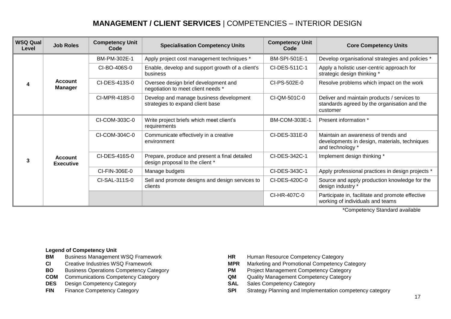# **MANAGEMENT / CLIENT SERVICES** | COMPETENCIES – INTERIOR DESIGN

| <b>WSQ Qual</b><br>Level | <b>Job Roles</b>                   | <b>Competency Unit</b><br>Code | <b>Specialisation Competency Units</b>                                           | <b>Competency Unit</b><br>Code | <b>Core Competency Units</b>                                                                             |
|--------------------------|------------------------------------|--------------------------------|----------------------------------------------------------------------------------|--------------------------------|----------------------------------------------------------------------------------------------------------|
| $\boldsymbol{\Lambda}$   | <b>Account</b><br><b>Manager</b>   | BM-PM-302E-1                   | Apply project cost management techniques *                                       | BM-SPI-501E-1                  | Develop organisational strategies and policies *                                                         |
|                          |                                    | CI-BO-406S-0                   | Enable, develop and support growth of a client's<br>business                     | CI-DES-511C-1                  | Apply a holistic user-centric approach for<br>strategic design thinking *                                |
|                          |                                    | CI-DES-413S-0                  | Oversee design brief development and<br>negotiation to meet client needs *       | CI-PS-502E-0                   | Resolve problems which impact on the work                                                                |
|                          |                                    | CI-MPR-418S-0                  | Develop and manage business development<br>strategies to expand client base      | CI-QM-501C-0                   | Deliver and maintain products / services to<br>standards agreed by the organisation and the<br>customer  |
| 3                        | <b>Account</b><br><b>Executive</b> | CI-COM-303C-0                  | Write project briefs which meet client's<br>requirements                         | BM-COM-303E-1                  | Present information *                                                                                    |
|                          |                                    | CI-COM-304C-0                  | Communicate effectively in a creative<br>environment                             | CI-DES-331E-0                  | Maintain an awareness of trends and<br>developments in design, materials, techniques<br>and technology * |
|                          |                                    | CI-DES-416S-0                  | Prepare, produce and present a final detailed<br>design proposal to the client * | CI-DES-342C-1                  | Implement design thinking *                                                                              |
|                          |                                    | CI-FIN-306E-0                  | Manage budgets                                                                   | CI-DES-343C-1                  | Apply professional practices in design projects *                                                        |
|                          |                                    | CI-SAL-311S-0                  | Sell and promote designs and design services to<br>clients                       | CI-DES-420C-0                  | Source and apply production knowledge for the<br>design industry *                                       |
|                          |                                    |                                |                                                                                  | CI-HR-407C-0                   | Participate in, facilitate and promote effective<br>working of individuals and teams                     |

\*Competency Standard available

- **BM** Business Management WSQ Framework **HR** Human Resource Competency Category<br>**CI** Creative Industries WSQ Framework **HR MPR** Marketing and Promotional Competency
- 
- 
- **COM** Communications Competency Category **QM** Quality Management Competency Category **DES** Design Competency Category
- **DES** Design Competency Category **SAL** SAL
- 
- 
- **CI** Creative Industries WSQ Framework **MPR** Marketing and Promotional Competency Category
- **BO** Business Operations Competency Category<br> **COM** Communications Competency Category<br> **COM** Cuality Management Competency Category
	-
	-
- **FIN** Finance Competency Category **SPI** Strategy Planning and Implementation competency category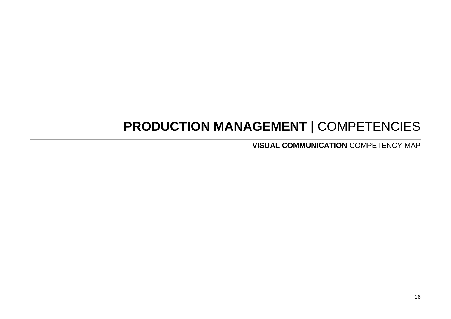# **PRODUCTION MANAGEMENT** | COMPETENCIES

**VISUAL COMMUNICATION** COMPETENCY MAP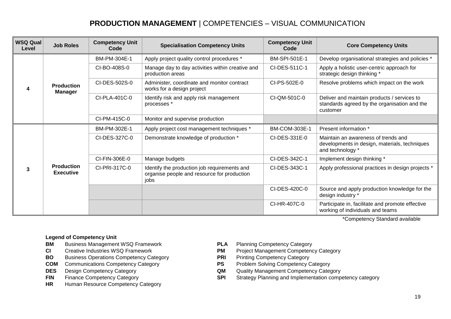## **PRODUCTION MANAGEMENT** | COMPETENCIES – VISUAL COMMUNICATION

| <b>WSQ Qual</b><br>Level | <b>Job Roles</b>                      | <b>Competency Unit</b><br>Code | <b>Specialisation Competency Units</b>                                                              | <b>Competency Unit</b><br>Code | <b>Core Competency Units</b>                                                                             |
|--------------------------|---------------------------------------|--------------------------------|-----------------------------------------------------------------------------------------------------|--------------------------------|----------------------------------------------------------------------------------------------------------|
| 4                        | <b>Production</b><br><b>Manager</b>   | BM-PM-304E-1                   | Apply project quality control procedures *                                                          | <b>BM-SPI-501E-1</b>           | Develop organisational strategies and policies *                                                         |
|                          |                                       | CI-BO-408S-0                   | Manage day to day activities within creative and<br>production areas                                | CI-DES-511C-1                  | Apply a holistic user-centric approach for<br>strategic design thinking *                                |
|                          |                                       | CI-DES-502S-0                  | Administer, coordinate and monitor contract<br>works for a design project                           | CI-PS-502E-0                   | Resolve problems which impact on the work                                                                |
|                          |                                       | CI-PLA-401C-0                  | Identify risk and apply risk management<br>processes *                                              | CI-QM-501C-0                   | Deliver and maintain products / services to<br>standards agreed by the organisation and the<br>customer  |
|                          |                                       | CI-PM-415C-0                   | Monitor and supervise production                                                                    |                                |                                                                                                          |
| 3                        | <b>Production</b><br><b>Executive</b> | BM-PM-302E-1                   | Apply project cost management techniques *                                                          | <b>BM-COM-303E-1</b>           | Present information *                                                                                    |
|                          |                                       | CI-DES-327C-0                  | Demonstrate knowledge of production *                                                               | CI-DES-331E-0                  | Maintain an awareness of trends and<br>developments in design, materials, techniques<br>and technology * |
|                          |                                       | CI-FIN-306E-0                  | Manage budgets                                                                                      | CI-DES-342C-1                  | Implement design thinking *                                                                              |
|                          |                                       | CI-PRI-317C-0                  | Identify the production job requirements and<br>organise people and resource for production<br>jobs | CI-DES-343C-1                  | Apply professional practices in design projects *                                                        |
|                          |                                       |                                |                                                                                                     | CI-DES-420C-0                  | Source and apply production knowledge for the<br>design industry *                                       |
|                          |                                       |                                |                                                                                                     | CI-HR-407C-0                   | Participate in, facilitate and promote effective<br>working of individuals and teams                     |

\*Competency Standard available

- **BM** Business Management WSQ Framework **PLA** Planning Competency Category<br> **CI** Creative Industries WSQ Framework **PM** Project Management Competency
- 
- **BO** Business Operations Competency Category<br> **COM** Communications Competency Category<br> **PS** Problem Solving Competency Category
- **COM** Communications Competency Category **PS**<br> **DES** Design Competency Category **QM**
- 
- 
- **HR** Human Resource Competency Category
- 
- **CI** Creative Industries WSQ Framework **PM** Project Management Competency Category
	-
	-
- **DES** Design Competency Category **CES** Design Competency Category **QM** Quality Management Competency Category
- **FIN** Finance Competency Category **SPI** Strategy Planning and Implementation competency category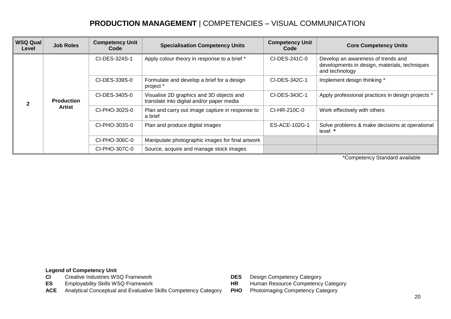#### **PRODUCTION MANAGEMENT** | COMPETENCIES – VISUAL COMMUNICATION

| <b>WSQ Qual</b><br>Level | <b>Job Roles</b>            | <b>Competency Unit</b><br>Code | <b>Specialisation Competency Units</b>                                                | <b>Competency Unit</b><br>Code | <b>Core Competency Units</b>                                                                          |
|--------------------------|-----------------------------|--------------------------------|---------------------------------------------------------------------------------------|--------------------------------|-------------------------------------------------------------------------------------------------------|
|                          | <b>Production</b><br>Artist | CI-DES-324S-1                  | Apply colour theory in response to a brief *                                          | CI-DES-241C-0                  | Develop an awareness of trends and<br>developments in design, materials, techniques<br>and technology |
|                          |                             | CI-DES-339S-0                  | Formulate and develop a brief for a design<br>project *                               | CI-DES-342C-1                  | Implement design thinking *                                                                           |
|                          |                             | CI-DES-340S-0                  | Visualise 2D graphics and 3D objects and<br>translate into digital and/or paper media | CI-DES-343C-1                  | Apply professional practices in design projects *                                                     |
|                          |                             | CI-PHO-302S-0                  | Plan and carry out image capture in response to<br>a brief                            | CI-HR-210C-0                   | Work effectively with others                                                                          |
|                          |                             | CI-PHO-303S-0                  | Plan and produce digital images                                                       | ES-ACE-102G-1                  | Solve problems & make decisions at operational<br>level *                                             |
|                          |                             | CI-PHO-306C-0                  | Manipulate photographic images for final artwork                                      |                                |                                                                                                       |
|                          |                             | CI-PHO-307C-0                  | Source, acquire and manage stock images                                               |                                |                                                                                                       |

\*Competency Standard available

- **CI** Creative Industries WSQ Framework **DES** Design Competency Category<br> **DES** Employability Skills WSQ Framework **DES** HR Human Resource Competency
- 
- **ACE** Analytical Conceptual and Evaluative Skills Competency Category **PHO** Photoimaging Competency Category
- 
- **HR** Human Resource Competency Category
	-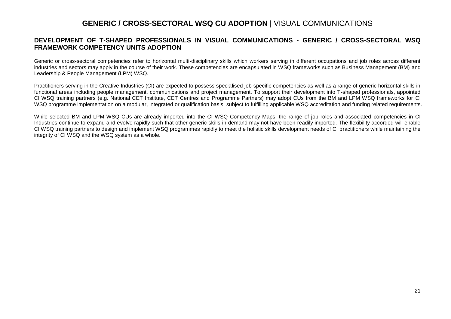#### **GENERIC / CROSS-SECTORAL WSQ CU ADOPTION** | VISUAL COMMUNICATIONS

#### **DEVELOPMENT OF T-SHAPED PROFESSIONALS IN VISUAL COMMUNICATIONS - GENERIC / CROSS-SECTORAL WSQ FRAMEWORK COMPETENCY UNITS ADOPTION**

Generic or cross-sectoral competencies refer to horizontal multi-disciplinary skills which workers serving in different occupations and job roles across different industries and sectors may apply in the course of their work. These competencies are encapsulated in WSQ frameworks such as Business Management (BM) and Leadership & People Management (LPM) WSQ.

Practitioners serving in the Creative Industries (CI) are expected to possess specialised job-specific competencies as well as a range of generic horizontal skills in functional areas including people management, communications and project management. To support their development into T-shaped professionals, appointed CI WSQ training partners (e.g. National CET Institute, CET Centres and Programme Partners) may adopt CUs from the BM and LPM WSQ frameworks for CI WSQ programme implementation on a modular, integrated or qualification basis, subject to fulfilling applicable WSQ accreditation and funding related requirements.

While selected BM and LPM WSQ CUs are already imported into the CI WSQ Competency Maps, the range of job roles and associated competencies in CI Industries continue to expand and evolve rapidly such that other generic skills-in-demand may not have been readily imported. The flexibility accorded will enable CI WSQ training partners to design and implement WSQ programmes rapidly to meet the holistic skills development needs of CI practitioners while maintaining the integrity of CI WSQ and the WSQ system as a whole.